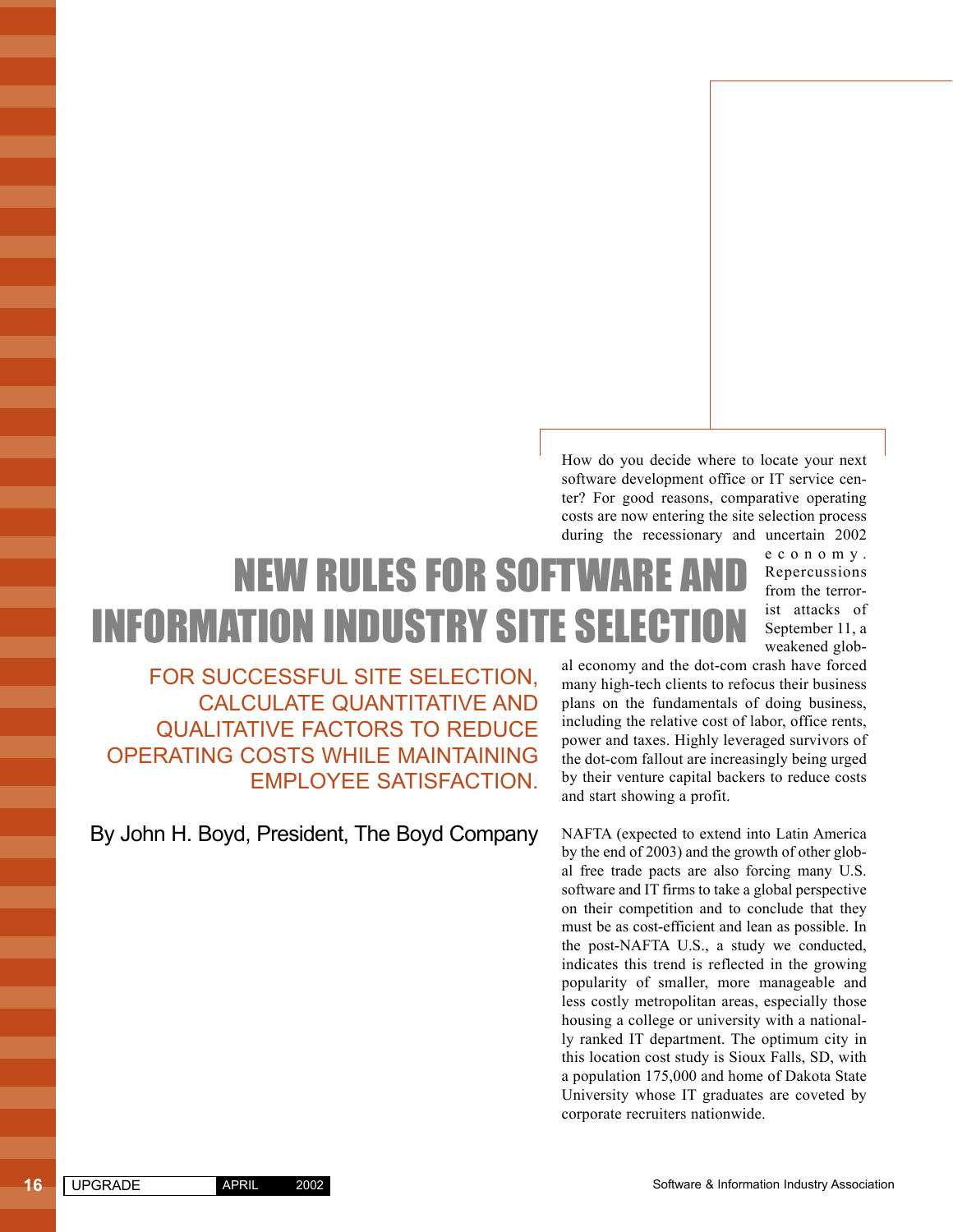How do you decide where to locate your next software development office or IT service center? For good reasons, comparative operating costs are now entering the site selection process during the recessionary and uncertain 2002

# **NEW RULES FOR SOFTWARE** INFORMATION INDUSTRY SITE SELECTION

economy. Repercussions from the terrorist attacks of September 11, a weakened glob-

FOR SUCCESSFUL SITE SELECTION, CALCULATE QUANTITATIVE AND QUALITATIVE FACTORS TO REDUCE OPERATING COSTS WHILE MAINTAINING EMPLOYEE SATISFACTION.

By John H. Boyd, President, The Boyd Company

al economy and the dot-com crash have forced many high-tech clients to refocus their business plans on the fundamentals of doing business, including the relative cost of labor, office rents, power and taxes. Highly leveraged survivors of the dot-com fallout are increasingly being urged by their venture capital backers to reduce costs and start showing a profit.

NAFTA (expected to extend into Latin America by the end of 2003) and the growth of other global free trade pacts are also forcing many U.S. software and IT firms to take a global perspective on their competition and to conclude that they must be as cost-efficient and lean as possible. In the post-NAFTA U.S., a study we conducted, indicates this trend is reflected in the growing popularity of smaller, more manageable and less costly metropolitan areas, especially those housing a college or university with a nationally ranked IT department. The optimum city in this location cost study is Sioux Falls, SD, with a population 175,000 and home of Dakota State University whose IT graduates are coveted by corporate recruiters nationwide.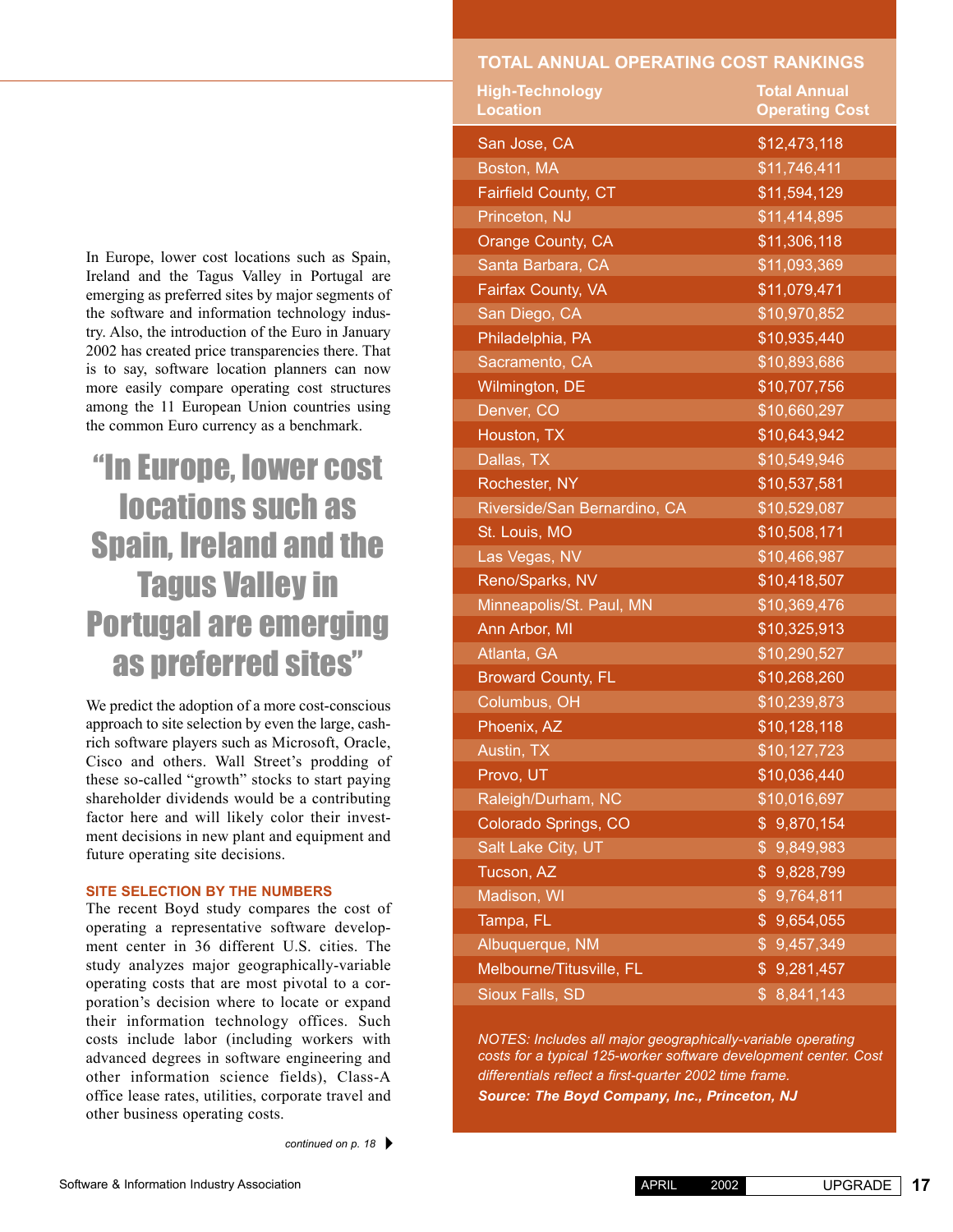**TOTAL ANNUAL OPERATING COST RANKINGS**

## "In Europe, lower cost locations such as Spain, Ireland and the Tagus Valley in Portugal are emerging as preferred sites"

We predict the adoption of a more cost-conscious approach to site selection by even the large, cashrich software players such as Microsoft, Oracle, Cisco and others. Wall Street's prodding of these so-called "growth" stocks to start paying shareholder dividends would be a contributing factor here and will likely color their investment decisions in new plant and equipment and future operating site decisions.

## **SITE SELECTION BY THE NUMBERS**

The recent Boyd study compares the cost of operating a representative software development center in 36 different U.S. cities. The study analyzes major geographically-variable operating costs that are most pivotal to a corporation's decision where to locate or expand their information technology offices. Such costs include labor (including workers with advanced degrees in software engineering and other information science fields), Class-A office lease rates, utilities, corporate travel and other business operating costs.

| <b>High-Technology</b><br><b>Location</b> | <b>Total Annual</b><br><b>Operating Cost</b> |
|-------------------------------------------|----------------------------------------------|
|                                           |                                              |
| San Jose, CA                              | \$12,473,118                                 |
| Boston, MA                                | \$11,746,411                                 |
| Fairfield County, CT                      | \$11,594,129                                 |
| Princeton, NJ                             | \$11,414,895                                 |
| Orange County, CA                         | \$11,306,118                                 |
| Santa Barbara, CA                         | \$11,093,369                                 |
| Fairfax County, VA                        | \$11,079,471                                 |
| San Diego, CA                             | \$10,970,852                                 |
| Philadelphia, PA                          | \$10,935,440                                 |
| Sacramento, CA                            | \$10,893,686                                 |
| Wilmington, DE                            | \$10,707,756                                 |
| Denver, CO                                | \$10,660,297                                 |
| Houston, TX                               | \$10,643,942                                 |
| Dallas, TX                                | \$10,549,946                                 |
| Rochester, NY                             | \$10,537,581                                 |
| Riverside/San Bernardino, CA              | \$10,529,087                                 |
| St. Louis, MO                             | \$10,508,171                                 |
| Las Vegas, NV                             | \$10,466,987                                 |
| Reno/Sparks, NV                           | \$10,418,507                                 |
| Minneapolis/St. Paul, MN                  | \$10,369,476                                 |
| Ann Arbor, MI                             | \$10,325,913                                 |
| Atlanta, GA                               | \$10,290,527                                 |
| <b>Broward County, FL</b>                 | \$10,268,260                                 |
| Columbus, OH                              | \$10,239,873                                 |
| Phoenix, AZ                               | \$10,128,118                                 |
| Austin, TX                                | \$10,127,723                                 |
| Provo, UT                                 | \$10,036,440                                 |
| Raleigh/Durham, NC                        | \$10,016,697                                 |
| Colorado Springs, CO                      | \$9,870,154                                  |
| Salt Lake City, UT                        | 9,849,983<br>$\frac{1}{2}$                   |
| Tucson, AZ                                | $\frac{1}{2}$<br>9,828,799                   |
| Madison, WI                               | 9,764,811<br>$\frac{1}{2}$                   |
| Tampa, FL                                 | \$<br>9,654,055                              |
| Albuquerque, NM                           | 9,457,349<br>$\frac{1}{2}$                   |
| Melbourne/Titusville, FL                  | \$9,281,457                                  |
| Sioux Falls, SD                           | 8,841,143<br>$\mathsf{S}$                    |
|                                           |                                              |

*NOTES: Includes all major geographically-variable operating costs for a typical 125-worker software development center. Cost differentials reflect a first-quarter 2002 time frame. Source: The Boyd Company, Inc., Princeton, NJ*

APRIL 2002 UPGRADE **17**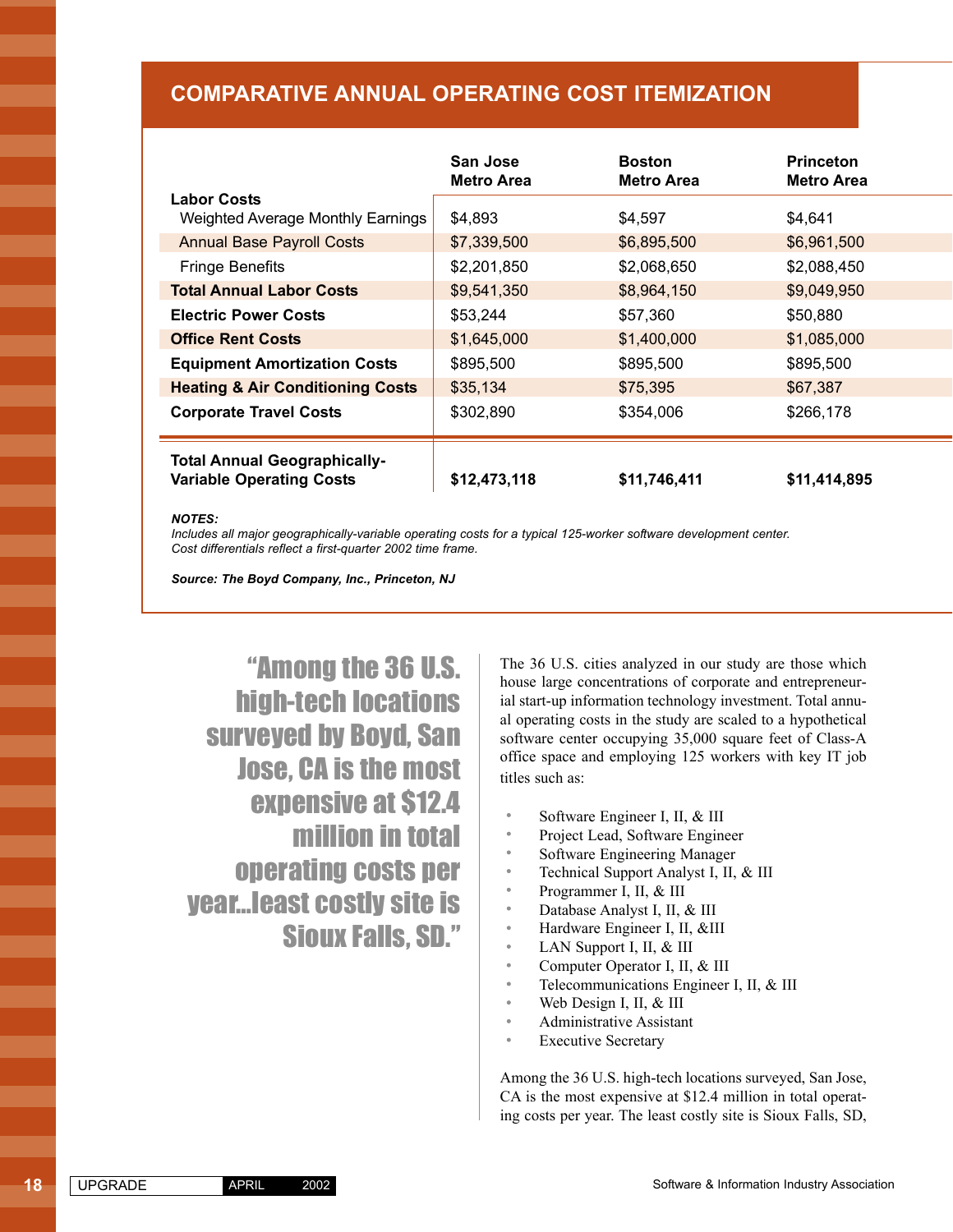## **COMPARATIVE ANNUAL OPERATING COST ITEMIZATION**

|                                                                        | San Jose<br><b>Metro Area</b> | <b>Boston</b><br>Metro Area | <b>Princeton</b><br><b>Metro Area</b> |
|------------------------------------------------------------------------|-------------------------------|-----------------------------|---------------------------------------|
| <b>Labor Costs</b><br><b>Weighted Average Monthly Earnings</b>         | \$4,893                       | \$4,597                     | \$4,641                               |
| <b>Annual Base Payroll Costs</b>                                       | \$7,339,500                   | \$6,895,500                 | \$6,961,500                           |
| Fringe Benefits                                                        | \$2,201,850                   | \$2,068,650                 | \$2.088.450                           |
| <b>Total Annual Labor Costs</b>                                        | \$9,541,350                   | \$8,964,150                 | \$9,049,950                           |
| <b>Electric Power Costs</b>                                            | \$53,244                      | \$57,360                    | \$50,880                              |
| <b>Office Rent Costs</b>                                               | \$1,645,000                   | \$1,400,000                 | \$1,085,000                           |
| <b>Equipment Amortization Costs</b>                                    | \$895,500                     | \$895,500                   | \$895,500                             |
| <b>Heating &amp; Air Conditioning Costs</b>                            | \$35,134                      | \$75,395                    | \$67,387                              |
| <b>Corporate Travel Costs</b>                                          | \$302,890                     | \$354,006                   | \$266,178                             |
| <b>Total Annual Geographically-</b><br><b>Variable Operating Costs</b> | \$12,473,118                  | \$11,746,411                | \$11,414,895                          |

#### *NOTES:*

ţ

*Includes all major geographically-variable operating costs for a typical 125-worker software development center. Cost differentials reflect a first-quarter 2002 time frame.*

*Source: The Boyd Company, Inc., Princeton, NJ*

"Among the 36 U.S. high-tech locations surveyed by Boyd, San Jose, CA is the most expensive at \$12.4 million in total operating costs per year…least costly site is Sioux Falls, SD."

The 36 U.S. cities analyzed in our study are those which house large concentrations of corporate and entrepreneurial start-up information technology investment. Total annual operating costs in the study are scaled to a hypothetical software center occupying 35,000 square feet of Class-A office space and employing 125 workers with key IT job titles such as:

- Software Engineer I, II, & III
- Project Lead, Software Engineer
- Software Engineering Manager
- Technical Support Analyst I, II, & III
- Programmer I, II, & III
- Database Analyst I, II, & III
- Hardware Engineer I, II, &III
- LAN Support I, II, & III
- Computer Operator I, II, & III
- Telecommunications Engineer I, II, & III
- Web Design I, II, & III
- Administrative Assistant
- Executive Secretary

Among the 36 U.S. high-tech locations surveyed, San Jose, CA is the most expensive at \$12.4 million in total operating costs per year. The least costly site is Sioux Falls, SD,